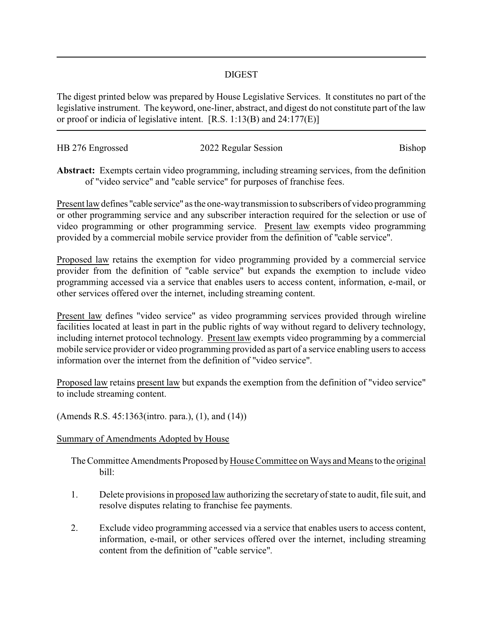## DIGEST

The digest printed below was prepared by House Legislative Services. It constitutes no part of the legislative instrument. The keyword, one-liner, abstract, and digest do not constitute part of the law or proof or indicia of legislative intent. [R.S. 1:13(B) and 24:177(E)]

| HB 276 Engrossed | 2022 Regular Session | Bishop |
|------------------|----------------------|--------|
|                  |                      |        |

**Abstract:** Exempts certain video programming, including streaming services, from the definition of "video service" and "cable service" for purposes of franchise fees.

Present law defines "cable service" as the one-waytransmission to subscribers of video programming or other programming service and any subscriber interaction required for the selection or use of video programming or other programming service. Present law exempts video programming provided by a commercial mobile service provider from the definition of "cable service".

Proposed law retains the exemption for video programming provided by a commercial service provider from the definition of "cable service" but expands the exemption to include video programming accessed via a service that enables users to access content, information, e-mail, or other services offered over the internet, including streaming content.

Present law defines "video service" as video programming services provided through wireline facilities located at least in part in the public rights of way without regard to delivery technology, including internet protocol technology. Present law exempts video programming by a commercial mobile service provider or video programming provided as part of a service enabling users to access information over the internet from the definition of "video service".

Proposed law retains present law but expands the exemption from the definition of "video service" to include streaming content.

(Amends R.S. 45:1363(intro. para.), (1), and (14))

## Summary of Amendments Adopted by House

The Committee Amendments Proposed by House Committee on Ways and Means to the original bill:

- 1. Delete provisions in proposed law authorizing the secretaryof state to audit, file suit, and resolve disputes relating to franchise fee payments.
- 2. Exclude video programming accessed via a service that enables users to access content, information, e-mail, or other services offered over the internet, including streaming content from the definition of "cable service".